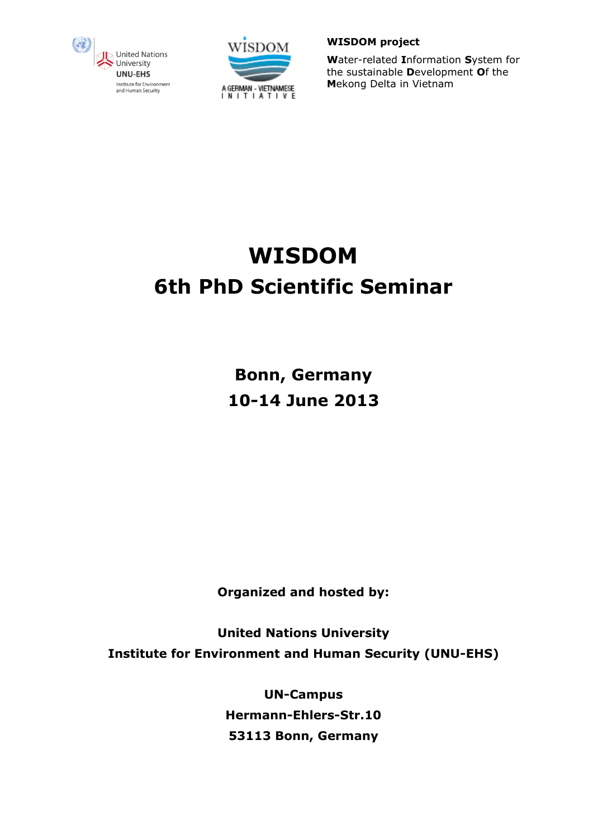



**W**ater-related **I**nformation **S**ystem for the sustainable **D**evelopment **O**f the **M**ekong Delta in Vietnam

# **WISDOM 6th PhD Scientific Seminar**

**Bonn, Germany 10-14 June 2013**

**Organized and hosted by:**

**United Nations University Institute for Environment and Human Security (UNU-EHS)**

> **UN-Campus Hermann-Ehlers-Str.10 53113 Bonn, Germany**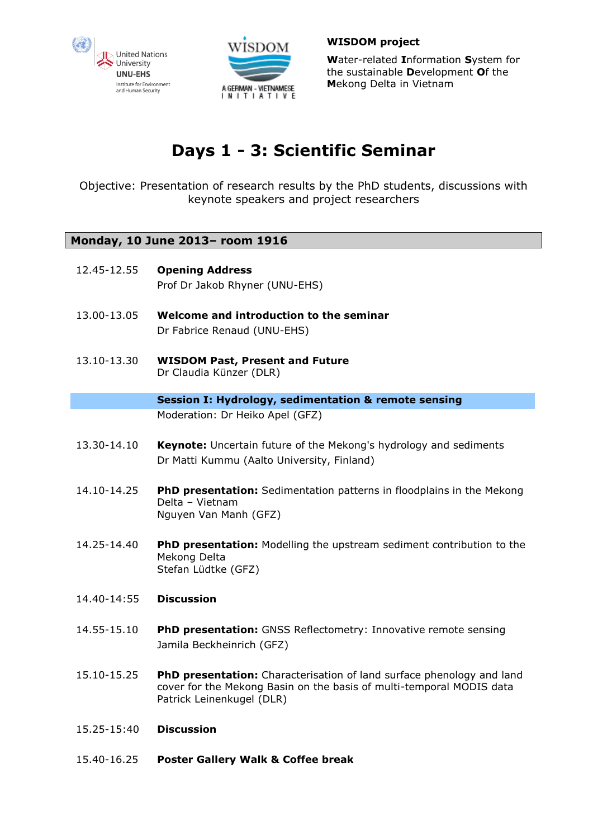



**W**ater-related **I**nformation **S**ystem for the sustainable **D**evelopment **O**f the **M**ekong Delta in Vietnam

# **Days 1 - 3: Scientific Seminar**

Objective: Presentation of research results by the PhD students, discussions with keynote speakers and project researchers

# **Monday, 10 June 2013– room 1916**

| 12.45-12.55 | <b>Opening Address</b><br>Prof Dr Jakob Rhyner (UNU-EHS)                                                                                                                   |
|-------------|----------------------------------------------------------------------------------------------------------------------------------------------------------------------------|
| 13.00-13.05 | Welcome and introduction to the seminar<br>Dr Fabrice Renaud (UNU-EHS)                                                                                                     |
| 13.10-13.30 | <b>WISDOM Past, Present and Future</b><br>Dr Claudia Künzer (DLR)                                                                                                          |
|             | <b>Session I: Hydrology, sedimentation &amp; remote sensing</b>                                                                                                            |
|             | Moderation: Dr Heiko Apel (GFZ)                                                                                                                                            |
| 13.30-14.10 | Keynote: Uncertain future of the Mekong's hydrology and sediments<br>Dr Matti Kummu (Aalto University, Finland)                                                            |
| 14.10-14.25 | PhD presentation: Sedimentation patterns in floodplains in the Mekong<br>Delta - Vietnam<br>Nguyen Van Manh (GFZ)                                                          |
| 14.25-14.40 | <b>PhD presentation:</b> Modelling the upstream sediment contribution to the<br>Mekong Delta<br>Stefan Lüdtke (GFZ)                                                        |
| 14.40-14:55 | <b>Discussion</b>                                                                                                                                                          |
| 14.55-15.10 | PhD presentation: GNSS Reflectometry: Innovative remote sensing<br>Jamila Beckheinrich (GFZ)                                                                               |
| 15.10-15.25 | PhD presentation: Characterisation of land surface phenology and land<br>cover for the Mekong Basin on the basis of multi-temporal MODIS data<br>Patrick Leinenkugel (DLR) |
| 15.25-15:40 | <b>Discussion</b>                                                                                                                                                          |
| 15.40-16.25 | <b>Poster Gallery Walk &amp; Coffee break</b>                                                                                                                              |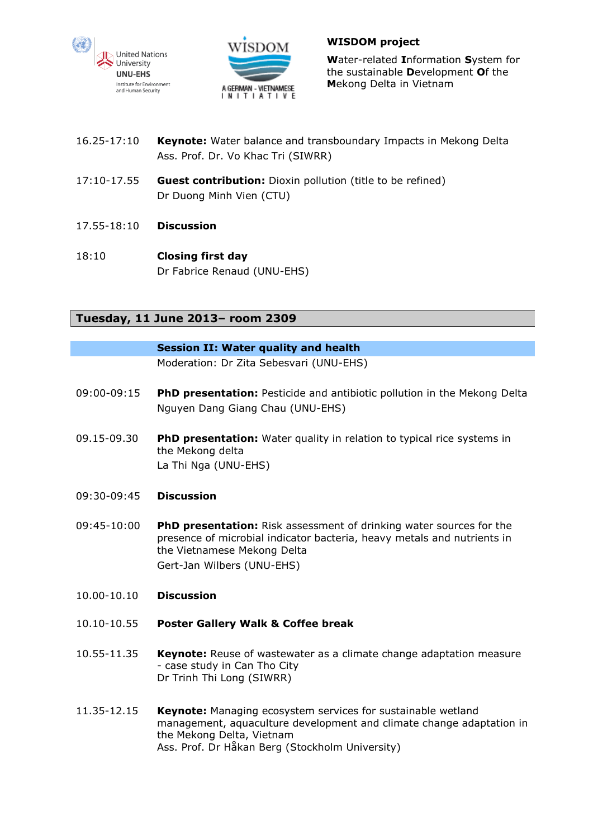



**W**ater-related **I**nformation **S**ystem for the sustainable **D**evelopment **O**f the **M**ekong Delta in Vietnam

- 16.25-17:10 **Keynote:** Water balance and transboundary Impacts in Mekong Delta Ass. Prof. Dr. Vo Khac Tri (SIWRR)
- 17:10-17.55 **Guest contribution:** Dioxin pollution (title to be refined) Dr Duong Minh Vien (CTU)
- 17.55-18:10 **Discussion**
- 18:10 **Closing first day** Dr Fabrice Renaud (UNU-EHS)

## **Tuesday, 11 June 2013– room 2309**

#### **Session II: Water quality and health**

Moderation: Dr Zita Sebesvari (UNU-EHS)

- 09:00-09:15 **PhD presentation:** Pesticide and antibiotic pollution in the Mekong Delta Nguyen Dang Giang Chau (UNU-EHS)
- 09.15-09.30 **PhD presentation:** Water quality in relation to typical rice systems in the Mekong delta La Thi Nga (UNU-EHS)
- 09:30-09:45 **Discussion**
- 09:45-10:00 **PhD presentation:** Risk assessment of drinking water sources for the presence of microbial indicator bacteria, heavy metals and nutrients in the Vietnamese Mekong Delta Gert-Jan Wilbers (UNU-EHS)
- 10.00-10.10 **Discussion**
- 10.10-10.55 **Poster Gallery Walk & Coffee break**
- 10.55-11.35 **Keynote:** Reuse of wastewater as a climate change adaptation measure - case study in Can Tho City Dr Trinh Thi Long (SIWRR)
- 11.35-12.15 **Keynote:** Managing ecosystem services for sustainable wetland management, aquaculture development and climate change adaptation in the Mekong Delta, Vietnam Ass. Prof. Dr Håkan Berg (Stockholm University)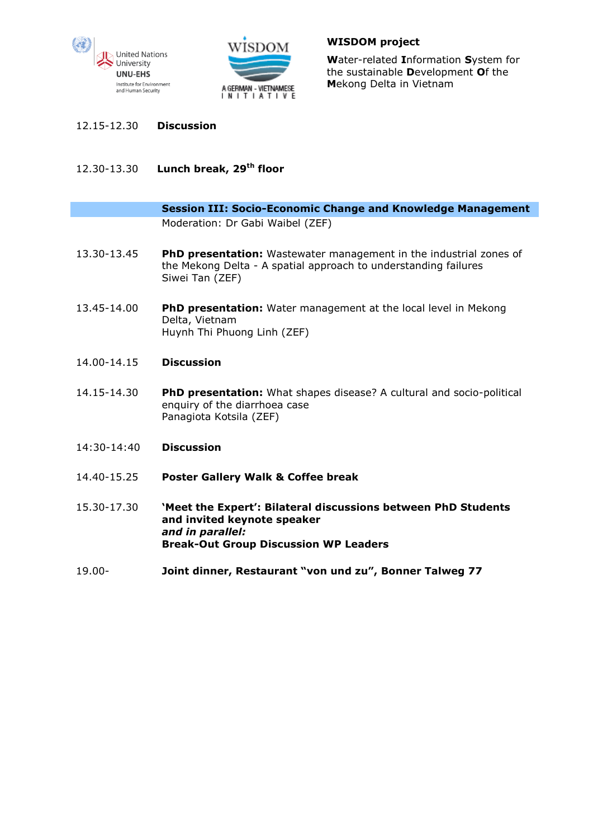



**W**ater-related **I**nformation **S**ystem for the sustainable **D**evelopment **O**f the **M**ekong Delta in Vietnam

- 12.15-12.30 **Discussion**
- 12.30-13.30 **Lunch break, 29th floor**

| <b>Session III: Socio-Economic Change and Knowledge Management</b> |
|--------------------------------------------------------------------|
| Moderation: Dr Gabi Waibel (ZEF)                                   |

- 13.30-13.45 **PhD presentation:** Wastewater management in the industrial zones of the Mekong Delta - A spatial approach to understanding failures Siwei Tan (ZEF)
- 13.45-14.00 **PhD presentation:** Water management at the local level in Mekong Delta, Vietnam Huynh Thi Phuong Linh (ZEF)
- 14.00-14.15 **Discussion**
- 14.15-14.30 **PhD presentation:** What shapes disease? A cultural and socio-political enquiry of the diarrhoea case Panagiota Kotsila (ZEF)
- 14:30-14:40 **Discussion**
- 14.40-15.25 **Poster Gallery Walk & Coffee break**
- 15.30-17.30 **'Meet the Expert': Bilateral discussions between PhD Students and invited keynote speaker** *and in parallel:* **Break-Out Group Discussion WP Leaders**
- 19.00- **Joint dinner, Restaurant "von und zu", Bonner Talweg 77**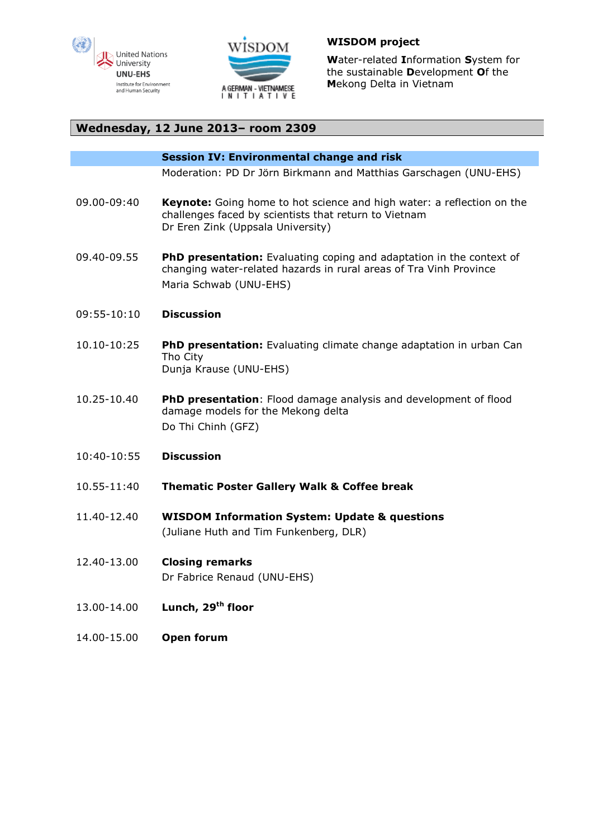



**W**ater-related **I**nformation **S**ystem for the sustainable **D**evelopment **O**f the **M**ekong Delta in Vietnam

### **Wednesday, 12 June 2013– room 2309**

#### **Session IV: Environmental change and risk**

Moderation: PD Dr Jörn Birkmann and Matthias Garschagen (UNU-EHS)

- 09.00-09:40 **Keynote:** Going home to hot science and high water: a reflection on the challenges faced by scientists that return to Vietnam Dr Eren Zink (Uppsala University)
- 09.40-09.55 **PhD presentation:** Evaluating coping and adaptation in the context of changing water-related hazards in rural areas of Tra Vinh Province Maria Schwab (UNU-EHS)
- 09:55-10:10 **Discussion**
- 10.10-10:25 **PhD presentation:** Evaluating climate change adaptation in urban Can Tho City Dunja Krause (UNU-EHS)
- 10.25-10.40 **PhD presentation**: Flood damage analysis and development of flood damage models for the Mekong delta Do Thi Chinh (GFZ)
- 10:40-10:55 **Discussion**
- 10.55-11:40 **Thematic Poster Gallery Walk & Coffee break**
- 11.40-12.40 **WISDOM Information System: Update & questions** (Juliane Huth and Tim Funkenberg, DLR)
- 12.40-13.00 **Closing remarks** Dr Fabrice Renaud (UNU-EHS)
- 13.00-14.00 **Lunch, 29th floor**
- 14.00-15.00 **Open forum**